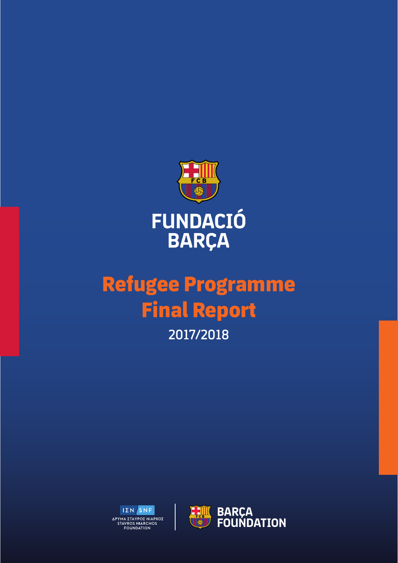

# **Refugee Programme Final Report 2017/2018**



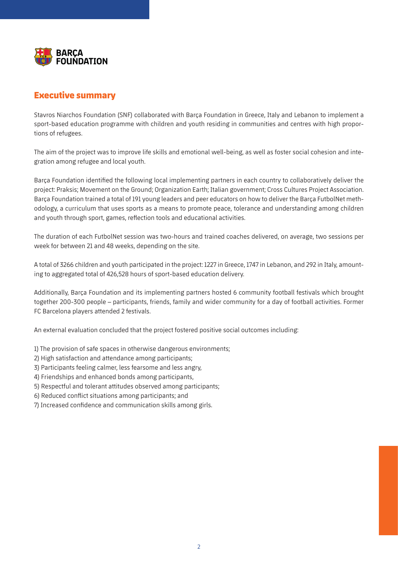

## **Executive summary**

Stavros Niarchos Foundation (SNF) collaborated with Barça Foundation in Greece, Italy and Lebanon to implement a sport-based education programme with children and youth residing in communities and centres with high proportions of refugees.

The aim of the project was to improve life skills and emotional well-being, as well as foster social cohesion and integration among refugee and local youth.

Barça Foundation identified the following local implementing partners in each country to collaboratively deliver the project: Praksis; Movement on the Ground; Organization Earth; Italian government; Cross Cultures Project Association. Barça Foundation trained a total of 191 young leaders and peer educators on how to deliver the Barça FutbolNet methodology, a curriculum that uses sports as a means to promote peace, tolerance and understanding among children and youth through sport, games, reflection tools and educational activities.

The duration of each FutbolNet session was two-hours and trained coaches delivered, on average, two sessions per week for between 21 and 48 weeks, depending on the site.

A total of 3266 children and youth participated in the project: 1227 in Greece, 1747 in Lebanon, and 292 in Italy, amounting to aggregated total of 426,528 hours of sport-based education delivery.

Additionally, Barça Foundation and its implementing partners hosted 6 community football festivals which brought together 200-300 people – participants, friends, family and wider community for a day of football activities. Former FC Barcelona players attended 2 festivals.

An external evaluation concluded that the project fostered positive social outcomes including:

- 1) The provision of safe spaces in otherwise dangerous environments;
- 2) High satisfaction and attendance among participants;
- 3) Participants feeling calmer, less fearsome and less angry,
- 4) Friendships and enhanced bonds among participants,
- 5) Respectful and tolerant attitudes observed among participants;
- 6) Reduced conflict situations among participants; and
- 7) Increased confidence and communication skills among girls.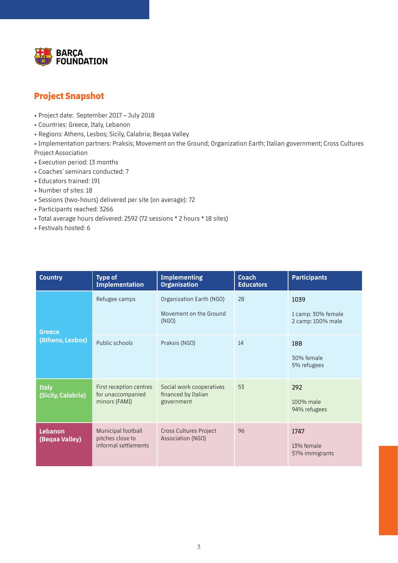

# **Project Snapshot**

- Project date: September 2017 July 2018
- Countries: Greece, Italy, Lebanon
- Regions: Athens, Lesbos; Sicily, Calabria; Beqaa Valley

• Implementation partners: Praksis; Movement on the Ground; Organization Earth; Italian government; Cross Cultures Project Association

- Execution period: 13 months
- Coaches´ seminars conducted: 7
- Educators trained: 191
- Number of sites: 18
- Sessions (two-hours) delivered per site (on average): 72
- Participants reached: 3266
- Total average hours delivered: 2592 (72 sessions \* 2 hours \* 18 sites)
- Festivals hosted: 6

| <b>Country</b>                     | <b>Type of</b><br><b>Implementation</b>                        | <b>Implementing</b><br><b>Organisation</b>                    | <b>Coach</b><br><b>Educators</b> | <b>Participants</b>                             |
|------------------------------------|----------------------------------------------------------------|---------------------------------------------------------------|----------------------------------|-------------------------------------------------|
| <b>Greece</b><br>(Athens, Lesbos)  | Refugee camps                                                  | Organization Earth (NGO)<br>Movement on the Ground<br>(NGO)   | 28                               | 1039<br>1 camp: 30% female<br>2 camp: 100% male |
|                                    | Public schools                                                 | Praksis (NGO)                                                 | 14                               | 188<br>30% female<br>5% refugees                |
| <b>Italy</b><br>(Sicily, Calabria) | First reception centres<br>for unaccompanied<br>minors (FAMI)  | Social work cooperatives<br>financed by Italian<br>government | 53                               | 292<br>100% male<br>94% refugees                |
| Lebanon<br>(Begaa Valley)          | Municipal football<br>pitches close to<br>informal settlements | Cross Cultures Project<br>Association (NGO)                   | 96                               | 1747<br>13% female<br>57% immigrants            |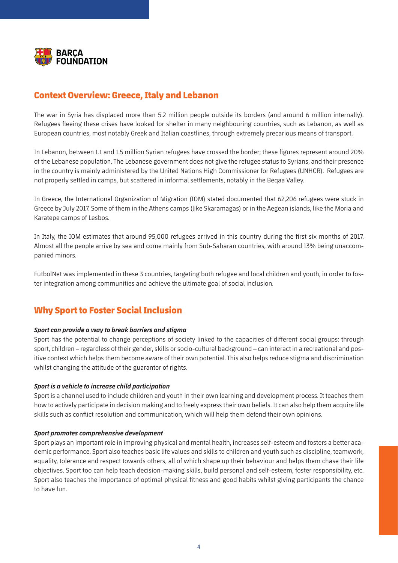

# **Context Overview: Greece, Italy and Lebanon**

The war in Syria has displaced more than 5.2 million people outside its borders (and around 6 million internally). Refugees fleeing these crises have looked for shelter in many neighbouring countries, such as Lebanon, as well as European countries, most notably Greek and Italian coastlines, through extremely precarious means of transport.

In Lebanon, between 1.1 and 1.5 million Syrian refugees have crossed the border; these figures represent around 20% of the Lebanese population. The Lebanese government does not give the refugee status to Syrians, and their presence in the country is mainly administered by the United Nations High Commissioner for Refugees (UNHCR). Refugees are not properly settled in camps, but scattered in informal settlements, notably in the Beqaa Valley.

In Greece, the International Organization of Migration (IOM) stated documented that 62,206 refugees were stuck in Greece by July 2017. Some of them in the Athens camps (like Skaramagas) or in the Aegean islands, like the Moria and Karatepe camps of Lesbos.

In Italy, the IOM estimates that around 95,000 refugees arrived in this country during the first six months of 2017. Almost all the people arrive by sea and come mainly from Sub-Saharan countries, with around 13% being unaccompanied minors.

FutbolNet was implemented in these 3 countries, targeting both refugee and local children and youth, in order to foster integration among communities and achieve the ultimate goal of social inclusion.

## **Why Sport to Foster Social Inclusion**

#### *Sport can provide a way to break barriers and stigma*

Sport has the potential to change perceptions of society linked to the capacities of different social groups: through sport, children – regardless of their gender, skills or socio-cultural background – can interact in a recreational and positive context which helps them become aware of their own potential. This also helps reduce stigma and discrimination whilst changing the attitude of the guarantor of rights.

#### *Sport is a vehicle to increase child participation*

Sport is a channel used to include children and youth in their own learning and development process. It teaches them how to actively participate in decision making and to freely express their own beliefs. It can also help them acquire life skills such as conflict resolution and communication, which will help them defend their own opinions.

#### *Sport promotes comprehensive development*

Sport plays an important role in improving physical and mental health, increases self-esteem and fosters a better academic performance. Sport also teaches basic life values and skills to children and youth such as discipline, teamwork, equality, tolerance and respect towards others, all of which shape up their behaviour and helps them chase their life objectives. Sport too can help teach decision-making skills, build personal and self-esteem, foster responsibility, etc. Sport also teaches the importance of optimal physical fitness and good habits whilst giving participants the chance to have fun.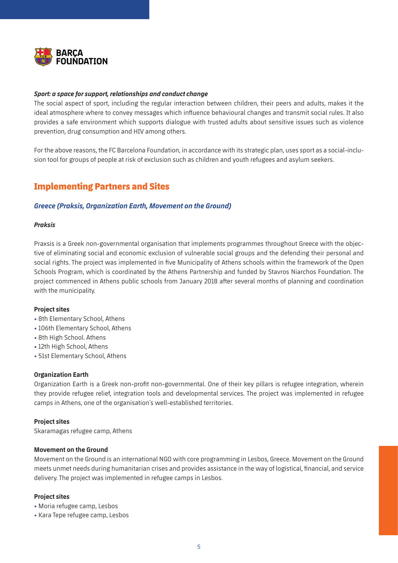

#### *Sport: a space for support, relationships and conduct change*

The social aspect of sport, including the regular interaction between children, their peers and adults, makes it the ideal atmosphere where to convey messages which influence behavioural changes and transmit social rules. It also provides a safe environment which supports dialogue with trusted adults about sensitive issues such as violence prevention, drug consumption and HIV among others.

For the above reasons, the FC Barcelona Foundation, in accordance with its strategic plan, uses sport as a social-inclusion tool for groups of people at risk of exclusion such as children and youth refugees and asylum seekers.

## **Implementing Partners and Sites**

#### *Greece (Praksis, Organization Earth, Movement on the Ground)*

#### *Praksis*

Praxsis is a Greek non-governmental organisation that implements programmes throughout Greece with the objective of eliminating social and economic exclusion of vulnerable social groups and the defending their personal and social rights. The project was implemented in five Municipality of Athens schools within the framework of the Open Schools Program, which is coordinated by the Athens Partnership and funded by Stavros Niarchos Foundation. The project commenced in Athens public schools from January 2018 after several months of planning and coordination with the municipality.

#### **Project sites**

- 8th Elementary School, Athens
- 106th Elementary School, Athens
- 8th High School. Athens
- 12th High School, Athens
- 51st Elementary School, Athens

#### **Organization Earth**

Organization Earth is a Greek non-profit non-governmental. One of their key pillars is refugee integration, wherein they provide refugee relief, integration tools and developmental services. The project was implemented in refugee camps in Athens, one of the organisation´s well-established territories.

#### **Project sites**

Skaramagas refugee camp, Athens

#### **Movement on the Ground**

Movement on the Ground is an international NGO with core programming in Lesbos, Greece. Movement on the Ground meets unmet needs during humanitarian crises and provides assistance in the way of logistical, financial, and service delivery. The project was implemented in refugee camps in Lesbos.

#### **Project sites**

• Moria refugee camp, Lesbos

• Kara Tepe refugee camp, Lesbos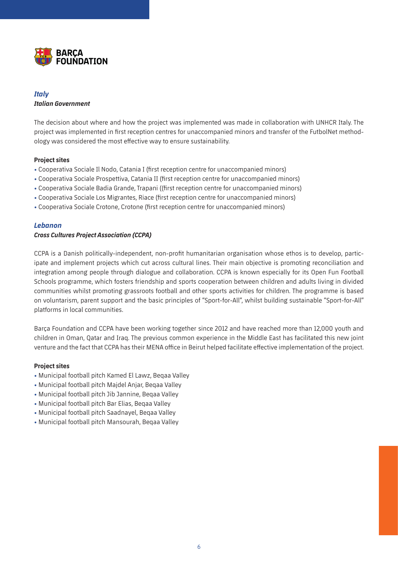

### *Italy Italian Government*

The decision about where and how the project was implemented was made in collaboration with UNHCR Italy. The project was implemented in first reception centres for unaccompanied minors and transfer of the FutbolNet methodology was considered the most effective way to ensure sustainability.

#### **Project sites**

- Cooperativa Sociale Il Nodo, Catania I (first reception centre for unaccompanied minors)
- Cooperativa Sociale Prospettiva, Catania II (first reception centre for unaccompanied minors)
- Cooperativa Sociale Badia Grande, Trapani ((first reception centre for unaccompanied minors)
- Cooperativa Sociale Los Migrantes, Riace (first reception centre for unaccompanied minors)
- Cooperativa Sociale Crotone, Crotone (first reception centre for unaccompanied minors)

#### *Lebanon*

#### *Cross Cultures Project Association (CCPA)*

CCPA is a Danish politically-independent, non-profit humanitarian organisation whose ethos is to develop, participate and implement projects which cut across cultural lines. Their main objective is promoting reconciliation and integration among people through dialogue and collaboration. CCPA is known especially for its Open Fun Football Schools programme, which fosters friendship and sports cooperation between children and adults living in divided communities whilst promoting grassroots football and other sports activities for children. The programme is based on voluntarism, parent support and the basic principles of "Sport-for-All", whilst building sustainable "Sport-for-All" platforms in local communities.

Barça Foundation and CCPA have been working together since 2012 and have reached more than 12,000 youth and children in Oman, Qatar and Iraq. The previous common experience in the Middle East has facilitated this new joint venture and the fact that CCPA has their MENA office in Beirut helped facilitate effective implementation of the project.

#### **Project sites**

- Municipal football pitch Kamed El Lawz, Beqaa Valley
- Municipal football pitch Majdel Anjar, Beqaa Valley
- Municipal football pitch Jib Jannine, Beqaa Valley
- Municipal football pitch Bar Elias, Beqaa Valley
- Municipal football pitch Saadnayel, Beqaa Valley
- Municipal football pitch Mansourah, Beqaa Valley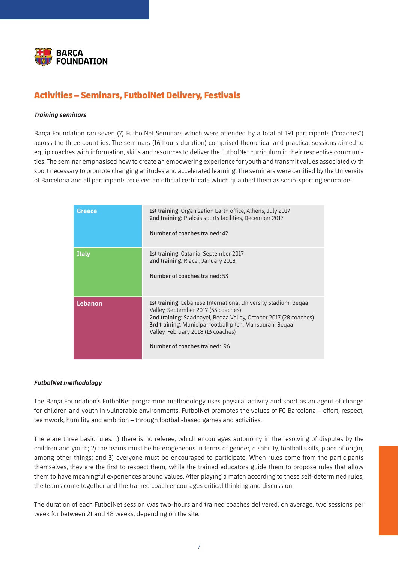

# **Activities – Seminars, FutbolNet Delivery, Festivals**

#### *Training seminars*

Barça Foundation ran seven (7) FutbolNet Seminars which were attended by a total of 191 participants ("coaches") across the three countries. The seminars (16 hours duration) comprised theoretical and practical sessions aimed to equip coaches with information, skills and resources to deliver the FutbolNet curriculum in their respective communities. The seminar emphasised how to create an empowering experience for youth and transmit values associated with sport necessary to promote changing attitudes and accelerated learning. The seminars were certified by the University of Barcelona and all participants received an official certificate which qualified them as socio-sporting educators.

| <b>Greece</b>  | 1st training: Organization Earth office, Athens, July 2017<br>2nd training: Praksis sports facilities, December 2017<br>Number of coaches trained: 42                                                                                                                                                               |
|----------------|---------------------------------------------------------------------------------------------------------------------------------------------------------------------------------------------------------------------------------------------------------------------------------------------------------------------|
| <b>Italy</b>   | 1st training: Catania, September 2017<br>2nd training: Riace, January 2018<br>Number of coaches trained: 53                                                                                                                                                                                                         |
| <b>Lebanon</b> | 1st training: Lebanese International University Stadium, Begaa<br>Valley, September 2017 (55 coaches)<br>2nd training: Saadnayel, Begaa Valley, October 2017 (28 coaches)<br><b>3rd training:</b> Municipal football pitch, Mansourah, Begaa<br>Valley, February 2018 (13 coaches)<br>Number of coaches trained: 96 |

#### *FutbolNet methodology*

The Barça Foundation´s FutbolNet programme methodology uses physical activity and sport as an agent of change for children and youth in vulnerable environments. FutbolNet promotes the values of FC Barcelona – effort, respect, teamwork, humility and ambition – through football-based games and activities.

There are three basic rules: 1) there is no referee, which encourages autonomy in the resolving of disputes by the children and youth; 2) the teams must be heterogeneous in terms of gender, disability, football skills, place of origin, among other things; and 3) everyone must be encouraged to participate. When rules come from the participants themselves, they are the first to respect them, while the trained educators guide them to propose rules that allow them to have meaningful experiences around values. After playing a match according to these self-determined rules, the teams come together and the trained coach encourages critical thinking and discussion.

The duration of each FutbolNet session was two-hours and trained coaches delivered, on average, two sessions per week for between 21 and 48 weeks, depending on the site.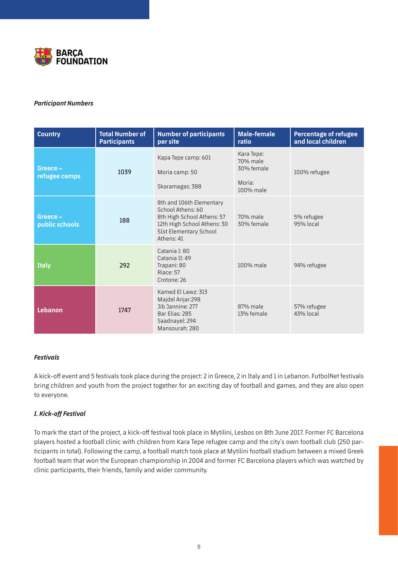

#### *Participant Numbers*

| <b>Country</b>            | <b>Total Number of</b><br><b>Participants</b> | <b>Number of participants</b><br>per site                                                                                                          | <b>Male-female</b><br>ratio                                 | <b>Percentage of refugee</b><br>and local children |
|---------------------------|-----------------------------------------------|----------------------------------------------------------------------------------------------------------------------------------------------------|-------------------------------------------------------------|----------------------------------------------------|
| Greece-<br>refugee camps  | 1039                                          | Kapa Tepe camp: 601<br>Moria camp: 50<br>Skaramagas: 388                                                                                           | Kara Tepe:<br>70% male<br>30% female<br>Moria:<br>100% male | 100% refugee                                       |
| Greece-<br>public schools | 188                                           | 8th and 106th Elementary<br>School Athens: 60<br>8th High School Athens: 57<br>12th High School Athens: 30<br>51st Elementary School<br>Athens: 41 | 70% male<br>30% female                                      | 5% refugee<br>95% local                            |
| <b>Italy</b>              | 292                                           | Catania I: 80<br>Catania II: 49<br>Trapani: 80<br>Riace: 57<br>Crotone: 26                                                                         | 100% male                                                   | 94% refugee                                        |
| <b>Lebanon</b>            | 1747                                          | Kamed El Lawz: 313<br>Majdel Anjar:298<br>Jib Jannine: 277<br>Bar Elias: 285<br>Saadnayel: 294<br>Mansourah: 280                                   | 87% male<br>13% female                                      | 57% refugee<br>43% local                           |

#### *Festivals*

A kick-off event and 5 festivals took place during the project: 2 in Greece, 2 in Italy and 1 in Lebanon. FutbolNet festivals bring children and youth from the project together for an exciting day of football and games, and they are also open to everyone.

#### *I. Kick-off Festival*

To mark the start of the project, a kick-off festival took place in Mytilini, Lesbos on 8th June 2017. Former FC Barcelona players hosted a football clinic with children from Kara Tepe refugee camp and the city´s own football club (250 participants in total). Following the camp, a football match took place at Mytilini football stadium between a mixed Greek football team that won the European championship in 2004 and former FC Barcelona players which was watched by clinic participants, their friends, family and wider community.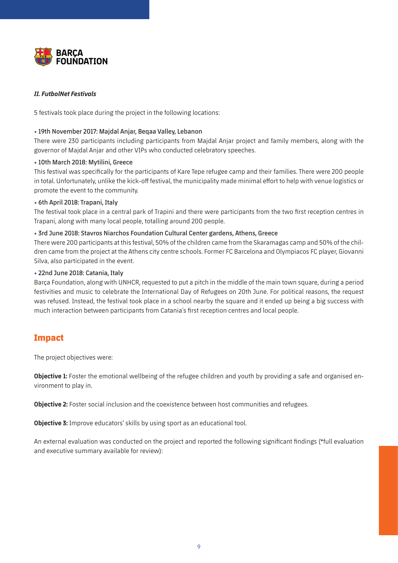

#### *II. FutbolNet Festivals*

5 festivals took place during the project in the following locations:

#### • **19th November 2017: Majdal Anjar, Beqaa Valley, Lebanon**

There were 230 participants including participants from Majdal Anjar project and family members, along with the governor of Majdal Anjar and other VIPs who conducted celebratory speeches.

#### • **10th March 2018: Mytilini, Greece**

This festival was specifically for the participants of Kare Tepe refugee camp and their families. There were 200 people in total. Unfortunately, unlike the kick-off festival, the municipality made minimal effort to help with venue logistics or promote the event to the community.

#### • **6th April 2018: Trapani, Italy**

The festival took place in a central park of Trapini and there were participants from the two first reception centres in Trapani, along with many local people, totalling around 200 people.

#### • **3rd June 2018: Stavros Niarchos Foundation Cultural Center gardens, Athens, Greece**

There were 200 participants at this festival, 50% of the children came from the Skaramagas camp and 50% of the children came from the project at the Athens city centre schools. Former FC Barcelona and Olympiacos FC player, Giovanni Silva, also participated in the event.

#### • **22nd June 2018: Catania, Italy**

Barça Foundation, along with UNHCR, requested to put a pitch in the middle of the main town square, during a period festivities and music to celebrate the International Day of Refugees on 20th June. For political reasons, the request was refused. Instead, the festival took place in a school nearby the square and it ended up being a big success with much interaction between participants from Catania´s first reception centres and local people.

## **Impact**

The project objectives were:

**Objective 1:** Foster the emotional wellbeing of the refugee children and youth by providing a safe and organised environment to play in.

**Objective 2:** Foster social inclusion and the coexistence between host communities and refugees.

**Objective 3:** Improve educators' skills by using sport as an educational tool.

An external evaluation was conducted on the project and reported the following significant findings (\*full evaluation and executive summary available for review):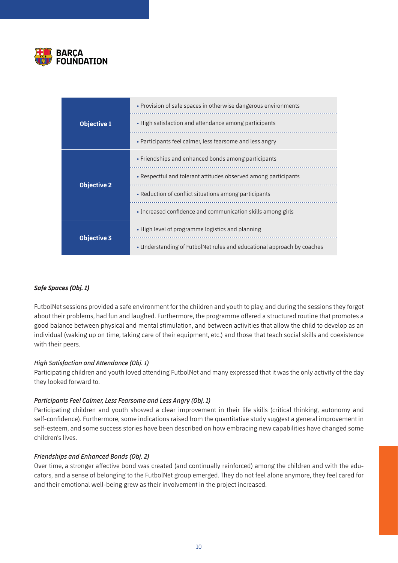

|                    | • Provision of safe spaces in otherwise dangerous environments         |  |  |
|--------------------|------------------------------------------------------------------------|--|--|
| <b>Objective 1</b> | • High satisfaction and attendance among participants                  |  |  |
|                    | • Participants feel calmer, less fearsome and less angry               |  |  |
|                    | • Friendships and enhanced bonds among participants                    |  |  |
| <b>Objective 2</b> | • Respectful and tolerant attitudes observed among participants        |  |  |
|                    | • Reduction of conflict situations among participants                  |  |  |
|                    | • Increased confidence and communication skills among girls            |  |  |
|                    | • High level of programme logistics and planning                       |  |  |
| <b>Objective 3</b> | • Understanding of FutbolNet rules and educational approach by coaches |  |  |

#### *Safe Spaces (Obj. 1)*

FutbolNet sessions provided a safe environment for the children and youth to play, and during the sessions they forgot about their problems, had fun and laughed. Furthermore, the programme offered a structured routine that promotes a good balance between physical and mental stimulation, and between activities that allow the child to develop as an individual (waking up on time, taking care of their equipment, etc.) and those that teach social skills and coexistence with their peers.

#### *High Satisfaction and Attendance (Obj. 1)*

Participating children and youth loved attending FutbolNet and many expressed that it was the only activity of the day they looked forward to.

#### *Participants Feel Calmer, Less Fearsome and Less Angry (Obj. 1)*

Participating children and youth showed a clear improvement in their life skills (critical thinking, autonomy and self-confidence). Furthermore, some indications raised from the quantitative study suggest a general improvement in self-esteem, and some success stories have been described on how embracing new capabilities have changed some children's lives.

#### *Friendships and Enhanced Bonds (Obj. 2)*

Over time, a stronger affective bond was created (and continually reinforced) among the children and with the educators, and a sense of belonging to the FutbolNet group emerged. They do not feel alone anymore, they feel cared for and their emotional well-being grew as their involvement in the project increased.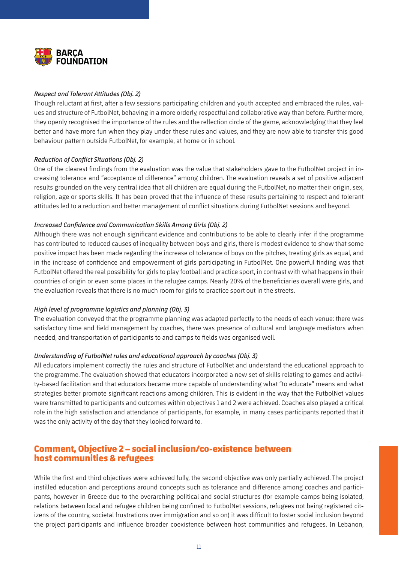

#### *Respect and Tolerant Attitudes (Obj. 2)*

Though reluctant at first, after a few sessions participating children and youth accepted and embraced the rules, values and structure of FutbolNet, behaving in a more orderly, respectful and collaborative way than before. Furthermore, they openly recognised the importance of the rules and the reflection circle of the game, acknowledging that they feel better and have more fun when they play under these rules and values, and they are now able to transfer this good behaviour pattern outside FutbolNet, for example, at home or in school.

#### *Reduction of Conflict Situations (Obj. 2)*

One of the clearest findings from the evaluation was the value that stakeholders gave to the FutbolNet project in increasing tolerance and "acceptance of difference" among children. The evaluation reveals a set of positive adjacent results grounded on the very central idea that all children are equal during the FutbolNet, no matter their origin, sex, religion, age or sports skills. It has been proved that the influence of these results pertaining to respect and tolerant attitudes led to a reduction and better management of conflict situations during FutbolNet sessions and beyond.

#### *Increased Confidence and Communication Skills Among Girls (Obj. 2)*

Although there was not enough significant evidence and contributions to be able to clearly infer if the programme has contributed to reduced causes of inequality between boys and girls, there is modest evidence to show that some positive impact has been made regarding the increase of tolerance of boys on the pitches, treating girls as equal, and in the increase of confidence and empowerment of girls participating in FutbolNet. One powerful finding was that FutbolNet offered the real possibility for girls to play football and practice sport, in contrast with what happens in their countries of origin or even some places in the refugee camps. Nearly 20% of the beneficiaries overall were girls, and the evaluation reveals that there is no much room for girls to practice sport out in the streets.

#### *High level of programme logistics and planning (Obj. 3)*

The evaluation conveyed that the programme planning was adapted perfectly to the needs of each venue: there was satisfactory time and field management by coaches, there was presence of cultural and language mediators when needed, and transportation of participants to and camps to fields was organised well.

#### *Understanding of FutbolNet rules and educational approach by coaches (Obj. 3)*

All educators implement correctly the rules and structure of FutbolNet and understand the educational approach to the programme. The evaluation showed that educators incorporated a new set of skills relating to games and activity-based facilitation and that educators became more capable of understanding what "to educate" means and what strategies better promote significant reactions among children. This is evident in the way that the FutbolNet values were transmitted to participants and outcomes within objectives 1 and 2 were achieved. Coaches also played a critical role in the high satisfaction and attendance of participants, for example, in many cases participants reported that it was the only activity of the day that they looked forward to.

## **Comment, Objective 2 – social inclusion/co-existence between host communities & refugees**

While the first and third objectives were achieved fully, the second objective was only partially achieved. The project instilled education and perceptions around concepts such as tolerance and difference among coaches and participants, however in Greece due to the overarching political and social structures (for example camps being isolated, relations between local and refugee children being confined to FutbolNet sessions, refugees not being registered citizens of the country, societal frustrations over immigration and so on) it was difficult to foster social inclusion beyond the project participants and influence broader coexistence between host communities and refugees. In Lebanon,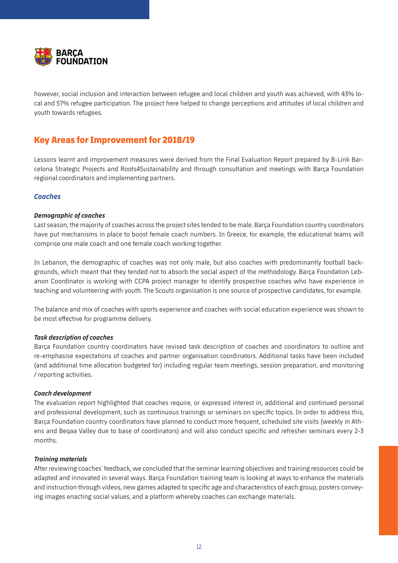

however, social inclusion and interaction between refugee and local children and youth was achieved, with 43% local and 57% refugee participation. The project here helped to change perceptions and attitudes of local children and youth towards refugees.

# **Key Areas for Improvement for 2018/19**

Lessons learnt and improvement measures were derived from the Final Evaluation Report prepared by B-Link Barcelona Strategic Projects and Roots4Sustainability and through consultation and meetings with Barça Foundation regional coordinators and implementing partners.

#### *Coaches*

#### *Demographic of coaches*

Last season, the majority of coaches across the project sites tended to be male. Barça Foundation country coordinators have put mechanisms in place to boost female coach numbers. In Greece, for example, the educational teams will comprise one male coach and one female coach working together.

In Lebanon, the demographic of coaches was not only male, but also coaches with predominantly football backgrounds, which meant that they tended not to absorb the social aspect of the methodology. Barça Foundation Lebanon Coordinator is working with CCPA project manager to identify prospective coaches who have experience in teaching and volunteering with youth. The Scouts organisation is one source of prospective candidates, for example.

The balance and mix of coaches with sports experience and coaches with social education experience was shown to be most effective for programme delivery.

#### *Task description of coaches*

Barça Foundation country coordinators have revised task description of coaches and coordinators to outline and re-emphasise expectations of coaches and partner organisation coordinators. Additional tasks have been included (and additional time allocation budgeted for) including regular team meetings, session preparation, and monitoring / reporting activities.

#### *Coach development*

The evaluation report highlighted that coaches require, or expressed interest in, additional and continued personal and professional development, such as continuous trainings or seminars on specific topics. In order to address this, Barça Foundation country coordinators have planned to conduct more frequent, scheduled site visits (weekly in Athens and Beqaa Valley due to base of coordinators) and will also conduct specific and refresher seminars every 2-3 months.

#### *Training materials*

After reviewing coaches´ feedback, we concluded that the seminar learning objectives and training resources could be adapted and innovated in several ways. Barça Foundation training team is looking at ways to enhance the materials and instruction through videos, new games adapted to specific age and characteristics of each group, posters conveying images enacting social values, and a platform whereby coaches can exchange materials.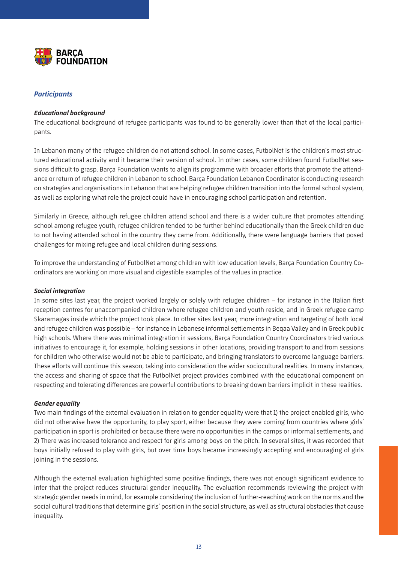

#### *Participants*

#### *Educational background*

The educational background of refugee participants was found to be generally lower than that of the local participants.

In Lebanon many of the refugee children do not attend school. In some cases, FutbolNet is the children´s most structured educational activity and it became their version of school. In other cases, some children found FutbolNet sessions difficult to grasp. Barça Foundation wants to align its programme with broader efforts that promote the attendance or return of refugee children in Lebanon to school. Barça Foundation Lebanon Coordinator is conducting research on strategies and organisations in Lebanon that are helping refugee children transition into the formal school system, as well as exploring what role the project could have in encouraging school participation and retention.

Similarly in Greece, although refugee children attend school and there is a wider culture that promotes attending school among refugee youth, refugee children tended to be further behind educationally than the Greek children due to not having attended school in the country they came from. Additionally, there were language barriers that posed challenges for mixing refugee and local children during sessions.

To improve the understanding of FutbolNet among children with low education levels, Barça Foundation Country Coordinators are working on more visual and digestible examples of the values in practice.

#### *Social integration*

In some sites last year, the project worked largely or solely with refugee children – for instance in the Italian first reception centres for unaccompanied children where refugee children and youth reside, and in Greek refugee camp Skaramagas inside which the project took place. In other sites last year, more integration and targeting of both local and refugee children was possible – for instance in Lebanese informal settlements in Beqaa Valley and in Greek public high schools. Where there was minimal integration in sessions, Barça Foundation Country Coordinators tried various initiatives to encourage it, for example, holding sessions in other locations, providing transport to and from sessions for children who otherwise would not be able to participate, and bringing translators to overcome language barriers. These efforts will continue this season, taking into consideration the wider sociocultural realities. In many instances, the access and sharing of space that the FutbolNet project provides combined with the educational component on respecting and tolerating differences are powerful contributions to breaking down barriers implicit in these realities.

#### *Gender equality*

Two main findings of the external evaluation in relation to gender equality were that 1) the project enabled girls, who did not otherwise have the opportunity, to play sport, either because they were coming from countries where girls' participation in sport is prohibited or because there were no opportunities in the camps or informal settlements, and 2) There was increased tolerance and respect for girls among boys on the pitch. In several sites, it was recorded that boys initially refused to play with girls, but over time boys became increasingly accepting and encouraging of girls joining in the sessions.

Although the external evaluation highlighted some positive findings, there was not enough significant evidence to infer that the project reduces structural gender inequality. The evaluation recommends reviewing the project with strategic gender needs in mind, for example considering the inclusion of further-reaching work on the norms and the social cultural traditions that determine girls´ position in the social structure, as well as structural obstacles that cause inequality.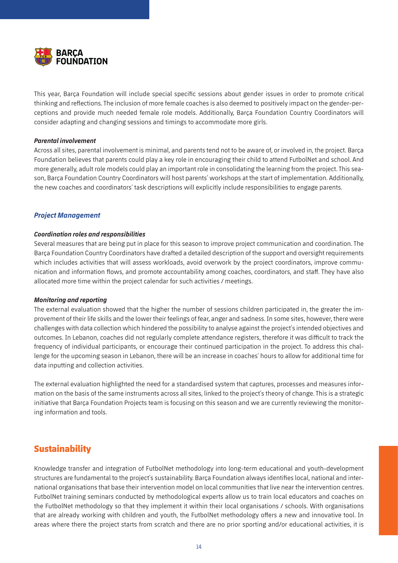

This year, Barça Foundation will include special specific sessions about gender issues in order to promote critical thinking and reflections. The inclusion of more female coaches is also deemed to positively impact on the gender-perceptions and provide much needed female role models. Additionally, Barça Foundation Country Coordinators will consider adapting and changing sessions and timings to accommodate more girls.

#### *Parental involvement*

Across all sites, parental involvement is minimal, and parents tend not to be aware of, or involved in, the project. Barça Foundation believes that parents could play a key role in encouraging their child to attend FutbolNet and school. And more generally, adult role models could play an important role in consolidating the learning from the project. This season, Barça Foundation Country Coordinators will host parents´ workshops at the start of implementation. Additionally, the new coaches and coordinators´ task descriptions will explicitly include responsibilities to engage parents.

#### *Project Management*

#### *Coordination roles and responsibilities*

Several measures that are being put in place for this season to improve project communication and coordination. The Barça Foundation Country Coordinators have drafted a detailed description of the support and oversight requirements which includes activities that will assess workloads, avoid overwork by the project coordinators, improve communication and information flows, and promote accountability among coaches, coordinators, and staff. They have also allocated more time within the project calendar for such activities / meetings.

#### *Monitoring and reporting*

The external evaluation showed that the higher the number of sessions children participated in, the greater the improvement of their life skills and the lower their feelings of fear, anger and sadness. In some sites, however, there were challenges with data collection which hindered the possibility to analyse against the project´s intended objectives and outcomes. In Lebanon, coaches did not regularly complete attendance registers, therefore it was difficult to track the frequency of individual participants, or encourage their continued participation in the project. To address this challenge for the upcoming season in Lebanon, there will be an increase in coaches´ hours to allow for additional time for data inputting and collection activities.

The external evaluation highlighted the need for a standardised system that captures, processes and measures information on the basis of the same instruments across all sites, linked to the project´s theory of change. This is a strategic initiative that Barça Foundation Projects team is focusing on this season and we are currently reviewing the monitoring information and tools.

## **Sustainability**

Knowledge transfer and integration of FutbolNet methodology into long-term educational and youth-development structures are fundamental to the project´s sustainability. Barça Foundation always identifies local, national and international organisations that base their intervention model on local communities that live near the intervention centres. FutbolNet training seminars conducted by methodological experts allow us to train local educators and coaches on the FutbolNet methodology so that they implement it within their local organisations / schools. With organisations that are already working with children and youth, the FutbolNet methodology offers a new and innovative tool. In areas where there the project starts from scratch and there are no prior sporting and/or educational activities, it is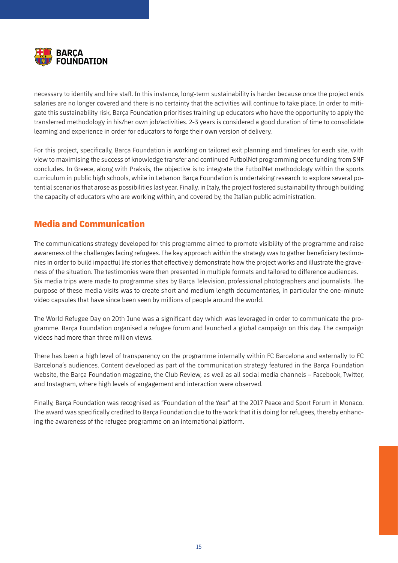

necessary to identify and hire staff. In this instance, long-term sustainability is harder because once the project ends salaries are no longer covered and there is no certainty that the activities will continue to take place. In order to mitigate this sustainability risk, Barça Foundation prioritises training up educators who have the opportunity to apply the transferred methodology in his/her own job/activities. 2-3 years is considered a good duration of time to consolidate learning and experience in order for educators to forge their own version of delivery.

For this project, specifically, Barça Foundation is working on tailored exit planning and timelines for each site, with view to maximising the success of knowledge transfer and continued FutbolNet programming once funding from SNF concludes. In Greece, along with Praksis, the objective is to integrate the FutbolNet methodology within the sports curriculum in public high schools, while in Lebanon Barça Foundation is undertaking research to explore several potential scenarios that arose as possibilities last year. Finally, in Italy, the project fostered sustainability through building the capacity of educators who are working within, and covered by, the Italian public administration.

# **Media and Communication**

The communications strategy developed for this programme aimed to promote visibility of the programme and raise awareness of the challenges facing refugees. The key approach within the strategy was to gather beneficiary testimonies in order to build impactful life stories that effectively demonstrate how the project works and illustrate the graveness of the situation. The testimonies were then presented in multiple formats and tailored to difference audiences. Six media trips were made to programme sites by Barça Television, professional photographers and journalists. The purpose of these media visits was to create short and medium length documentaries, in particular the one-minute video capsules that have since been seen by millions of people around the world.

The World Refugee Day on 20th June was a significant day which was leveraged in order to communicate the programme. Barça Foundation organised a refugee forum and launched a global campaign on this day. The campaign videos had more than three million views.

There has been a high level of transparency on the programme internally within FC Barcelona and externally to FC Barcelona´s audiences. Content developed as part of the communication strategy featured in the Barça Foundation website, the Barça Foundation magazine, the Club Review, as well as all social media channels – Facebook, Twitter, and Instagram, where high levels of engagement and interaction were observed.

Finally, Barça Foundation was recognised as "Foundation of the Year" at the 2017 Peace and Sport Forum in Monaco. The award was specifically credited to Barça Foundation due to the work that it is doing for refugees, thereby enhancing the awareness of the refugee programme on an international platform.